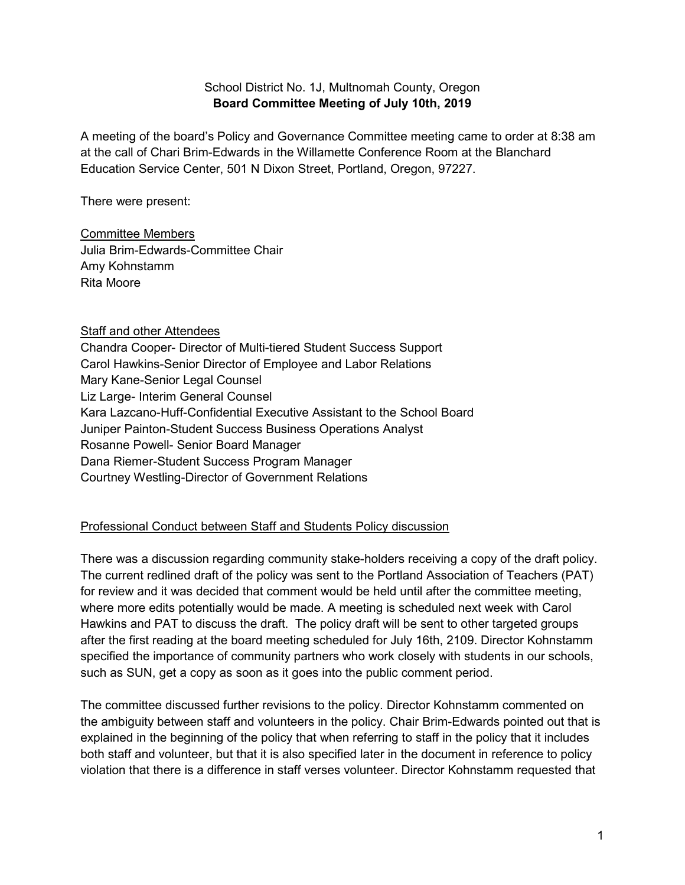## School District No. 1J, Multnomah County, Oregon **Board Committee Meeting of July 10th, 2019**

A meeting of the board's Policy and Governance Committee meeting came to order at 8:38 am at the call of Chari Brim-Edwards in the Willamette Conference Room at the Blanchard Education Service Center, 501 N Dixon Street, Portland, Oregon, 97227.

There were present:

#### Committee Members Julia Brim-Edwards-Committee Chair Amy Kohnstamm Rita Moore

# Staff and other Attendees

Chandra Cooper- Director of Multi-tiered Student Success Support Carol Hawkins-Senior Director of Employee and Labor Relations Mary Kane-Senior Legal Counsel Liz Large- Interim General Counsel Kara Lazcano-Huff-Confidential Executive Assistant to the School Board Juniper Painton-Student Success Business Operations Analyst Rosanne Powell- Senior Board Manager Dana Riemer-Student Success Program Manager Courtney Westling-Director of Government Relations

# Professional Conduct between Staff and Students Policy discussion

There was a discussion regarding community stake-holders receiving a copy of the draft policy. The current redlined draft of the policy was sent to the Portland Association of Teachers (PAT) for review and it was decided that comment would be held until after the committee meeting, where more edits potentially would be made. A meeting is scheduled next week with Carol Hawkins and PAT to discuss the draft. The policy draft will be sent to other targeted groups after the first reading at the board meeting scheduled for July 16th, 2109. Director Kohnstamm specified the importance of community partners who work closely with students in our schools, such as SUN, get a copy as soon as it goes into the public comment period.

The committee discussed further revisions to the policy. Director Kohnstamm commented on the ambiguity between staff and volunteers in the policy. Chair Brim-Edwards pointed out that is explained in the beginning of the policy that when referring to staff in the policy that it includes both staff and volunteer, but that it is also specified later in the document in reference to policy violation that there is a difference in staff verses volunteer. Director Kohnstamm requested that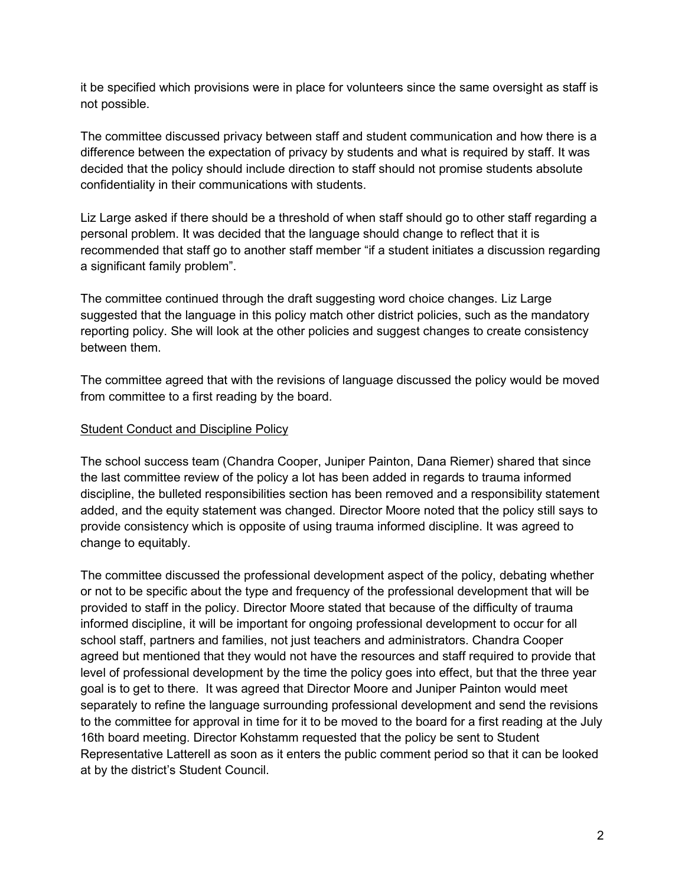it be specified which provisions were in place for volunteers since the same oversight as staff is not possible.

The committee discussed privacy between staff and student communication and how there is a difference between the expectation of privacy by students and what is required by staff. It was decided that the policy should include direction to staff should not promise students absolute confidentiality in their communications with students.

Liz Large asked if there should be a threshold of when staff should go to other staff regarding a personal problem. It was decided that the language should change to reflect that it is recommended that staff go to another staff member "if a student initiates a discussion regarding a significant family problem".

The committee continued through the draft suggesting word choice changes. Liz Large suggested that the language in this policy match other district policies, such as the mandatory reporting policy. She will look at the other policies and suggest changes to create consistency between them.

The committee agreed that with the revisions of language discussed the policy would be moved from committee to a first reading by the board.

#### Student Conduct and Discipline Policy

The school success team (Chandra Cooper, Juniper Painton, Dana Riemer) shared that since the last committee review of the policy a lot has been added in regards to trauma informed discipline, the bulleted responsibilities section has been removed and a responsibility statement added, and the equity statement was changed. Director Moore noted that the policy still says to provide consistency which is opposite of using trauma informed discipline. It was agreed to change to equitably.

The committee discussed the professional development aspect of the policy, debating whether or not to be specific about the type and frequency of the professional development that will be provided to staff in the policy. Director Moore stated that because of the difficulty of trauma informed discipline, it will be important for ongoing professional development to occur for all school staff, partners and families, not just teachers and administrators. Chandra Cooper agreed but mentioned that they would not have the resources and staff required to provide that level of professional development by the time the policy goes into effect, but that the three year goal is to get to there. It was agreed that Director Moore and Juniper Painton would meet separately to refine the language surrounding professional development and send the revisions to the committee for approval in time for it to be moved to the board for a first reading at the July 16th board meeting. Director Kohstamm requested that the policy be sent to Student Representative Latterell as soon as it enters the public comment period so that it can be looked at by the district's Student Council.